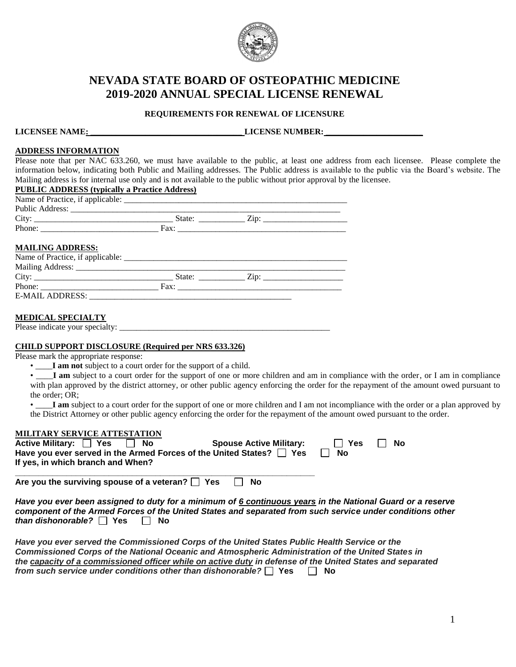

# **NEVADA STATE BOARD OF OSTEOPATHIC MEDICINE 2019-2020 ANNUAL SPECIAL LICENSE RENEWAL**

# **REQUIREMENTS FOR RENEWAL OF LICENSURE**

**LICENSEE NAME: \_\_\_\_\_\_\_\_\_\_\_\_\_\_\_\_\_\_\_\_\_\_\_\_\_\_\_\_\_\_\_\_\_\_\_\_ LICENSE NUMBER: \_\_\_\_\_\_\_\_\_\_\_\_\_\_\_\_\_\_\_\_\_\_\_** 

## **ADDRESS INFORMATION**

Please note that per NAC 633.260, we must have available to the public, at least one address from each licensee. Please complete the information below, indicating both Public and Mailing addresses. The Public address is available to the public via the Board's website. The Mailing address is for internal use only and is not available to the public without prior approval by the licensee.

| <b>MAILING ADDRESS:</b> |  |  |
|-------------------------|--|--|
|                         |  |  |
|                         |  |  |
|                         |  |  |

## **MEDICAL SPECIALTY**

Please indicate your specialty:

#### **CHILD SUPPORT DISCLOSURE (Required per NRS 633.326)**

Please mark the appropriate response:

• \_\_\_\_**I am not** subject to a court order for the support of a child.

• I am subject to a court order for the support of one or more children and am in compliance with the order, or I am in compliance with plan approved by the district attorney, or other public agency enforcing the order for the repayment of the amount owed pursuant to the order; OR;

• I am subject to a court order for the support of one or more children and I am not incompliance with the order or a plan approved by the District Attorney or other public agency enforcing the order for the repayment of the amount owed pursuant to the order.

## **MILITARY SERVICE ATTESTATION**

| Active Military: Yes<br><b>No</b><br>Have you ever served in the Armed Forces of the United States? $\Box$ Yes | <b>Spouse Active Military:</b> | Yes<br><b>No</b> | No |
|----------------------------------------------------------------------------------------------------------------|--------------------------------|------------------|----|
| If yes, in which branch and When?                                                                              |                                |                  |    |
| Are you the surviving spouse of a veteran? $\Box$ Yes                                                          | No                             |                  |    |

*Have you ever been assigned to duty for a minimum of 6 continuous years in the National Guard or a reserve component of the Armed Forces of the United States and separated from such service under conditions other than dishonorable?* □ Yes □ No

*Have you ever served the Commissioned Corps of the United States Public Health Service or the Commissioned Corps of the National Oceanic and Atmospheric Administration of the United States in the capacity of a commissioned officer while on active duty in defense of the United States and separated from such service under conditions other than dishonorable?*  $\Box$  Yes  $\Box$  No